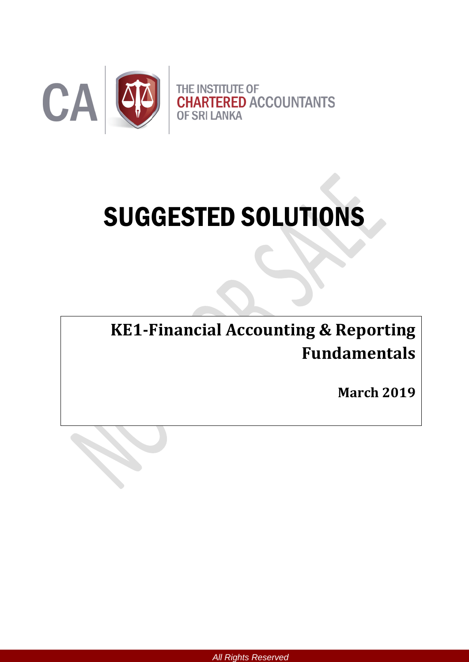

# SUGGESTED SOLUTIONS

**KE1-Financial Accounting & Reporting Fundamentals**

**March 2019**

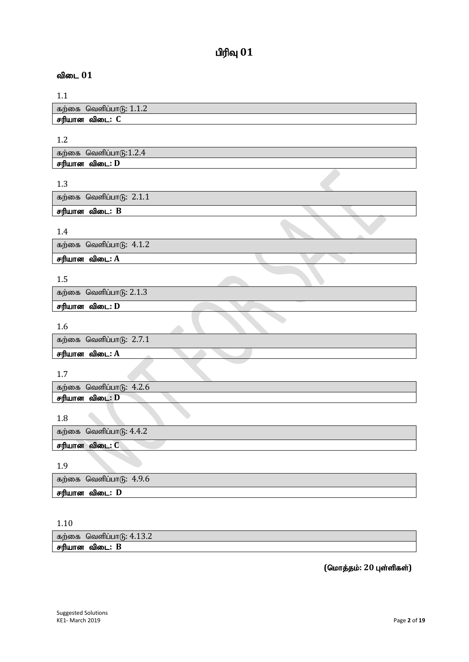# $n$ ரிவு  $01$

# விடை 01

| கற்கை வெளிப்பாடு: $1.1.2$ |  |
|---------------------------|--|
| சரியான விடை: C            |  |

1.2

| கற்கை வெளிப்பாடு:1.2.4 |  |
|------------------------|--|
| சரியான விடை: D         |  |
|                        |  |
| -12                    |  |

| கற்கை வெளிப்பாடு: $2.1.1$ |  |
|---------------------------|--|
| சரியான விடை: B            |  |

1.4

கற்கை வெளிப்பாடு:  $4.1.2$ 

சரியான விடை: A

# 1.5

கற்கை வெளிப்பாடு:  $2.1.3$ 

சரியான விடை: **D** 

1.6

கற்கை வெளிப்பாடு:  $2.7.1$ 

சரியான விடை: A

# 1.7

கற்கை வெளிப்பாடு:  $4.2.6$ சரியான விடை: **D** 

1.8

கற்கை வெளிப்பா $6: 4.4.2$ 

சரியான விடை: C

1.9

| கற்கை வெளிப்பாடு: $4.9.6$ |
|---------------------------|
| சரியான விடை: D            |

1.10

| கறகை  | $\sim$<br>4.13.4<br>வெளிப்பாடு: |
|-------|---------------------------------|
| சாயான | : в<br>വെ : :                   |

 $($ மொத்தம்: 20 புள்ளிகள்)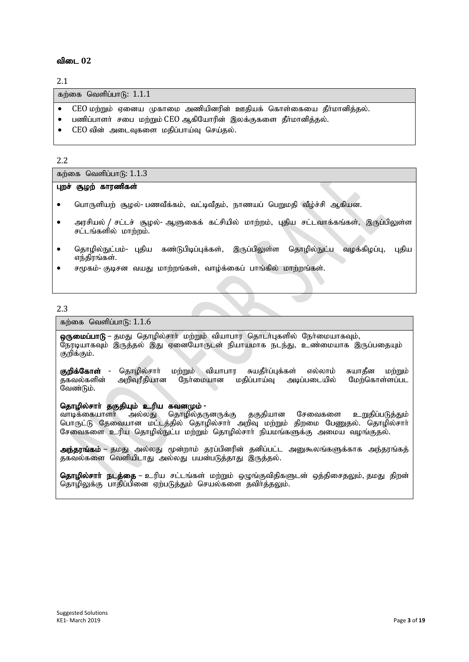## விடை 02

2.1

கற்கை வெளிப்பா $f$ ; 1.1.1

- $\bullet$   $\;$  CEO மற்றும் ஏனைய முகாமை அணியினரின் ஊதியக் கொள்கையை தீா்மானித்தல்.
- பணிப்பாளர் சபை மற்றும் CEO ஆகியோரின் இலக்குகளை தீர்மானித்தல்.
- $CEO$  வின் அடைவுகளை மதிப்பாய்வு செய்தல்.

#### 2.2

கற்கை வெளிப்பா $f<sub>0</sub>: 1.1.3$ 

#### புறச் சூழற் காரணிகள்

- nghUspaw; #oy;- gztPf;fk;> tl;btPjk;> ehzag; ngWkjp tPo;r;rp Mfpad.
- $\bullet$  அரசியல் / சட்டச் சூழல்- ஆளுகைக் கட்சியில் மாற்றம், புதிய சட்டவாக்கங்கள், இருப்பிலுள்ள சட்டங்களில் மாற்றம்.
- தொழில்நுட்பம்- புதிய கண்டுபிடிப்புக்கள், இருப்பிலுள்ள தொழில்நுட்ப வழக்கிழப்பு, புதிய எந்திாங்கள்.
- சமூகம்- குடிசன வயது மாற்றங்கள், வாழ்க்கைப் பாங்கில் மாற்றங்கள்.

#### 2.3

#### கற்கை வெளிப்பா $f$ : 1.1.6

ஒருமைப்பாடு – தமது தொழில்சாா் மற்றும் வியாபார தொடா்புகளில் நோ்மையாகவும், நேரடியாகவும் இருத்தல் இது ஏனையோருடன் நியாயமாக நடந்து, உண்மையாக இருப்பதையும் குறிக்கும்.

**குறிக்கோள் -** தொழில்சாா் மற்றும் வியாபார சுயதீா்ப்புக்கள் எல்லாம் சுயாதீன மற்றும்<br>தகவல்களின் அறிவரீதியான நோ்மையான மதிப்பாய்வு அடிப்படையில் மேற்கொள்ளப்பட மேற்கொள்ளப்பட வேண்டும்.

# **தொழில்சாா் தகுதியும் உரிய கவனமும் -**<br>வாடிக்கையாளா் அல்லது தொழில்தர

தொழில்தருனருக்கு தகுதியான சேவைகளை உறுதிப்படுத்தும் பொருட்டு தேவையான மட்டத்தில் தொழில்சார் அறிவு மற்றும் திறமை பேணுதல். தொழில்சார் சேவைகளை உரிய தொழில்நுட்ப மற்றும் தொழில்சார் நியமங்களுக்கு அமைய வழங்குதல்.

அந்தரங்கம் – தமது அல்லது மூன்றாம் தரப்பினரின் தனிப்பட்ட அனுகூலங்களுக்காக அந்தரங்கத் தகவல்களை வெளியிடாது அல்லது பயன்படுத்தாது இருத்தல்.

**தொழில்சாா் நடத்தை –** உரிய சட்டங்கள் மற்றும் ஒழுங்குவிதிகளுடன் ஒத்திசைதலும், தமது திறன் தொழிலுக்கு பாதிப்பினை ஏற்படுத்தும் செயல்களை தவிா்த்தலும்.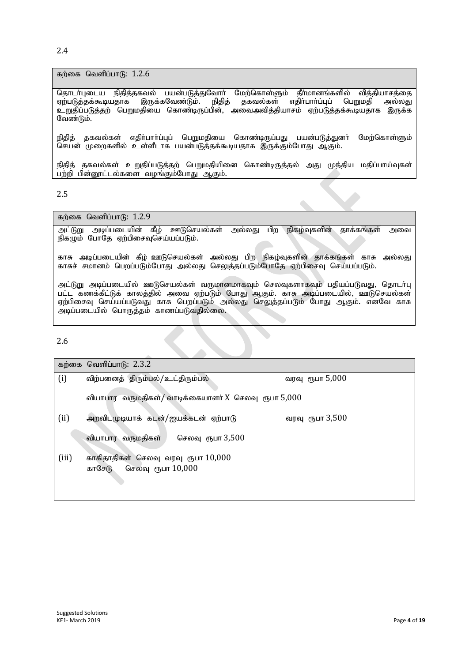2.4

கற்கை வெளிப்பா $f$ : 1.2.6

தொடா்புடைய நிதித்தகவல் பயன்படுத்துவோா் மேற்கொள்ளும் தீா்மானங்களில் வித்தியாசத்தை ஏற்படுத்தக்கூடியதாக இருக்கவேண்டும். நிதித் தகவல்கள் எதிா்பாா்ப்புப் பெறுமதி அல்லது உறுதிப்படுத்தற் பெறுமதியை கொண்டிருப்பின், அவைஅவித்தியாசம் ஏற்படுத்தக்கூடியதாக இருக்க வேண்டும்.

நிதித் தகவல்கள் எதிா்பாா்ப்புப் பெறுமதியை கொண்டிருப்பது பயன்படுத்துனா் மேற்கொள்ளும் | செயன் முறைகளில் உள்ளீடாக பயன்படுத்தக்கூடியதாக இருக்கும்போது ஆகும்.

நிதித் தகவல்கள் உறுதிப்படுத்தற் பெறுமதியினை கொண்டிருத்தல் அது முந்திய மதிப்பாய்வுகள் பற்றி பின்னூட்டல்களை வழங்கும்போது ஆகும்.

#### 2.5

கற்கை வெளிப்பாடு:  $1.2.9$ 

அட்டுறு அடிப்படையின் கீழ் ஊடுசெயல்கள் அல்லது பிற நிகழ்வுகளின் தாக்கங்கள் அவை  $\mathsf{g}$ திகழும் போதே ஏற்பிசைவுசெய்யப்படும்.

 $\overline{\phantom{a}}$ 

காசு அடிப்படையின் கீழ் ஊடுசெயல்கள் அல்லது பிற நிகழ்வுகளின் தாக்கங்கள் காசு அல்லது காசுச் சமானம் பெறப்படும்போது அல்லது செலுத்தப்படும்போதே ஏற்பிசைவு செய்யப்படும்.

அட்டுறு அடிப்படையில் ஊடுசெயல்கள் வருமானமாகவும் செலவுகளாகவும் பதியப்படுவது, தொடா்பு பட்ட கணக்கீட்டுக் காலத்தில் அவை ஏற்படும் போது ஆகும். காசு அடிப்படையில், ஊடுசெயல்கள் ஏற்பிசைவு செய்யப்படுவது காசு பெறப்படும் அல்லது செலுத்தப்படும் போது ஆகும். எனவே காசு அடிப்படையில் பொருத்தம் காணப்படுவதில்லை.

2.6

|       | கற்கை வெளிப்பாடு: 2.3.2                                               |                 |
|-------|-----------------------------------------------------------------------|-----------------|
| (i)   | விற்பனைத் திரும்பல்/உட்திரும்பல்                                      | வரவு ரூபா 5,000 |
|       | வியாபார வருமதிகள்/ வாடிக்கையாளர் X செலவு ரூபா 5,000                   |                 |
| (ii)  | அறவிடமுடியாக் கடன்/ஐயக்கடன் ஏற்பாடு                                   | வரவு ரூபா 3,500 |
|       | வியாபார வருமதிகள்<br>செலவு ரூபா 3,500                                 |                 |
| (iii) | காகிதாதிகள் செலவு வரவு ரூபா $10,000$<br>செலவு ரூபா $10,000$<br>காசேடு |                 |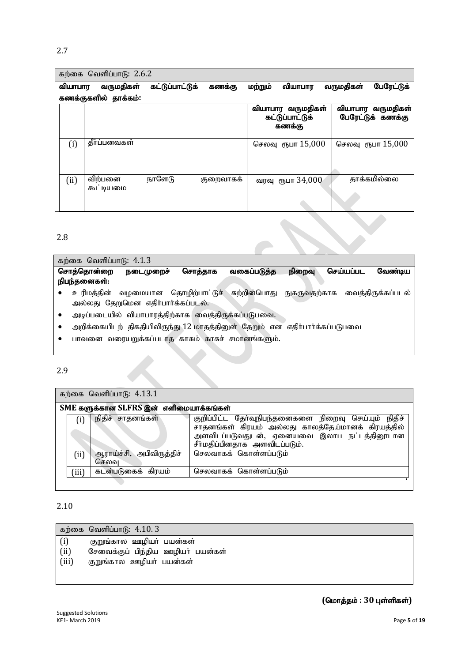# 2.7

|         | கற்கை வெளிப்பாடு: 2.6.2 |                 |           |         |                                                |           |                                        |
|---------|-------------------------|-----------------|-----------|---------|------------------------------------------------|-----------|----------------------------------------|
| வியாபார | வருமதிகள்               | கட்டுப்பாட்டுக் | கணக்கு    | மற்றும் | வியாபார                                        | வருமதிகள் | பேரேட்டுக்                             |
|         | கணக்குகளில் தாக்கம்:    |                 |           |         |                                                |           |                                        |
|         |                         |                 |           |         | வியாபார வருமதிகள்<br>கட்டுப்பாட்டுக்<br>கணக்கு |           | வியாபார வருமதிகள்<br>பேரேட்டுக் கணக்கு |
| (i)     | தீர்ப்பனவகள்            |                 |           |         | செலவு ரூபா 15,000                              |           | செலவு ரூபா 15,000                      |
| (ii)    | விற்பனை<br>கூட்டியமை    | நாளேடு          | குறைவாகக் |         | வரவு ரூபா 34,000                               |           | தாக்கமில்லை                            |

## 2.8

| கற்கை வெளிப்பாடு: $4.1.3$ |                                    |                |              |              |                      |
|---------------------------|------------------------------------|----------------|--------------|--------------|----------------------|
| சொத்தொன்றை                | நடைமுறைச்                          | சொத்தாக        | வகைப்படுத்த  | நிறைவு       | செய்யப்பட<br>வேண்டிய |
| நிபந்தனைகள்:              |                                    |                |              |              |                      |
| உரிமத்தின்                | வமமையான                            | தொழிற்பாட்டுச் | சுற்றின்பொது | நுகருவதற்காக | வைத்திருக்கப்படல்    |
|                           | அல்லது தேறுமென எதிர்பார்க்கப்படல். |                |              |              |                      |

- $\bullet$  அடிப்படையில் வியாபாரத்திற்காக வைத்திருக்கப்படுபவை.
- $\bullet$  அறிக்கையிடற் திகதியிலிருந்து  $12$  மாதத்தினுள் தேறும் என எதிா்பாா்க்கப்படுபவை
- $\bullet$  பாவனை வரையறுக்கப்படாத காசும் காசுச் சமானங்களும்.

#### 2.9

கற்கை வெளிப்பாடு:  $4.13.1$ 

|       | SME களுக்கான SLFRS இன் எளிமையாக்கங்கள் |                                                                                                                                                                                           |
|-------|----------------------------------------|-------------------------------------------------------------------------------------------------------------------------------------------------------------------------------------------|
| (i)   | நிதிச் சாதனங்கள்                       | குறிப்பிட்ட தேர்வுநிபந்தனைகளை நிறைவு செய்யும் நிதிச்<br>சாதனங்கள் கிரயம் அல்லது காலத்தேய்மானக் கிரயத்தில்<br>அளவிடப்படுவதுடன், ஏனையவை இலாப நட்டத்தினூடான<br>சீர்மதிப்பினதாக அளவிடப்படும். |
| (i)   | ஆராய்ச்சி, அபிவிருத்திச்<br>செலவு      | செலவாகக் கொள்ளப்படும்                                                                                                                                                                     |
| (iii) | கடன்படுகைக் கிரயம்                     | செலவாகக் கொள்ளப்படும்                                                                                                                                                                     |

## 2.10

|       | கற்கை வெளிப்பாடு: $4.10.3$        |
|-------|-----------------------------------|
| (i)   | குறுங்கால ஊழியா் பயன்கள்          |
| (ii)  | சேவைக்குப் பிந்திய ஊழியா் பயன்கள் |
| (iii) | குறுங்கால ஊழியா் பயன்கள்          |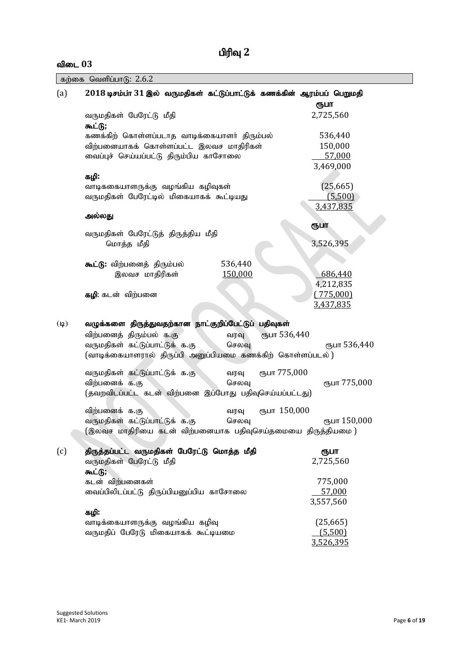# $\mathbf{a}$ ிடை  $03$

|  |  | கற்கை வெளிப்பாடு: 2.6.2 |  |
|--|--|-------------------------|--|
|--|--|-------------------------|--|

| (a)         | $2018$ டிசம்பா $31$ இல் வருமதிகள் கட்டுப்பாட்டுக் கணக்கின் ஆரம்பப் பெறுமதி                                                                                                        |                               | ரூபா                                      |
|-------------|-----------------------------------------------------------------------------------------------------------------------------------------------------------------------------------|-------------------------------|-------------------------------------------|
|             | வருமதிகள் பேரேட்டு மீதி<br>கூட்டு;                                                                                                                                                |                               | 2,725,560                                 |
|             | கணக்கிற் கொள்ளப்படாத வாடிக்கையாளர் திரும்பல்<br>விற்பனையாகக் கொள்ளப்பட்ட இலவச மாதிரிகள்<br>வைப்புச் செய்யப்பட்டு திரும்பிய காசோலை                                                 |                               | 536,440<br>150,000<br>57,000<br>3,469,000 |
|             | கழி:<br>வாடிககையாளருக்கு வழங்கிய கழிவுகள்<br>வருமதிகள் பேரேட்டில் மிகையாகக் கூட்டியது                                                                                             |                               | (25, 665)<br>(5,500)<br>3,437,835         |
|             | அல்லது                                                                                                                                                                            |                               |                                           |
|             | வருமதிகள் பேரேட்டுத் திருத்திய மீதி<br>மொத்த மீதி                                                                                                                                 |                               | ரூபா<br>3,526,395                         |
|             | கூட்டு: விற்பனைத் திரும்பல்<br>இலவச மாதிரிகள்                                                                                                                                     | 536,440<br>150,000            | 686,440                                   |
|             | கழி: கடன் விற்பனை                                                                                                                                                                 |                               | 4,212,835<br>(775,000)<br>3,437,835       |
| $(\varphi)$ | வழுக்களை திருத்துவதற்கான நாட்குறிப்பேட்டுப் பதிவுகள்<br>விற்பனைத் திரும்பல் க.கு<br>வருமதிகள் கட்டுப்பாட்டுக் க.கு<br>(வாடிக்கையாளரால் திருப்பி அனுப்பியமை கணக்கிற் கொள்ளப்படல் ) | сълг 536,440<br>வரவு<br>செலவு | ரூபா 536,440                              |
|             | வருமதிகள் கட்டுப்பாட்டுக் க.கு<br>விற்பனைக் க.கு<br>(தவறவிடப்பட்ட கடன் விற்பனை இப்போது பதிவுசெய்யப்பட்டது)                                                                        | ரூபா 775,000<br>வரவு<br>செலவு | ரூபா 775,000                              |
|             | விற்பனைக் க.கு<br>வருமதிகள் கட்டுப்பாட்டுக் க.கு<br>(இலவச மாதிரியை கடன் விற்பனையாக பதிவுசெய்தமையை திருத்தியமை )                                                                   | ரூபா 150,000<br>வரவு<br>செலவு | ரூபா 150,000                              |
| (c)         | திருத்தப்பட்ட வருமதிகள் பேரேட்டு மொத்த மீதி<br>வருமதிகள் பேரேட்டு மீதி                                                                                                            |                               | ரூபா<br>2,725,560                         |
|             | கூட்டு;<br>கடன் விற்பனைகள்<br>வைப்பிலிடப்பட்டு திருப்பியனுப்பிய காசோலை                                                                                                            |                               | 775,000<br>57,000<br>3,557,560            |
|             | கழி:<br>வாடிக்கையாளருக்கு வழங்கிய கழிவு<br>வருமதிப் பேரேடு மிகையாகக் கூட்டியமை                                                                                                    |                               | (25, 665)<br>(5.500)<br>3,526,395         |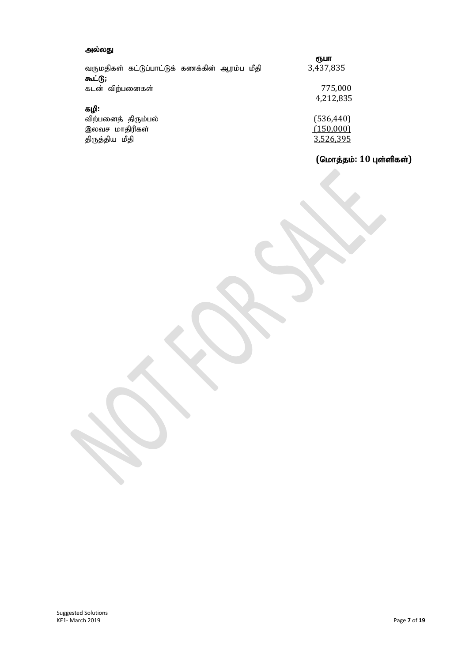## அல்லது

|                     | வருமதிகள் கட்டுப்பாட்டுக் கணக்கின் ஆரம்ப மீதி |  | ரூபா<br>3,437,835 |
|---------------------|-----------------------------------------------|--|-------------------|
| கூட்டு;             |                                               |  |                   |
| கடன் விற்பனைகள்     |                                               |  | 775,000           |
| கழி:                |                                               |  | 4,212,835         |
| விற்பனைத் திரும்பல் |                                               |  | (536, 440)        |
| இலவச மாதிரிகள்      |                                               |  | (150,000)         |
| திருத்திய மீதி      |                                               |  | 3,526,395         |

# $($ மொத்தம்: 10 புள்ளிகள்)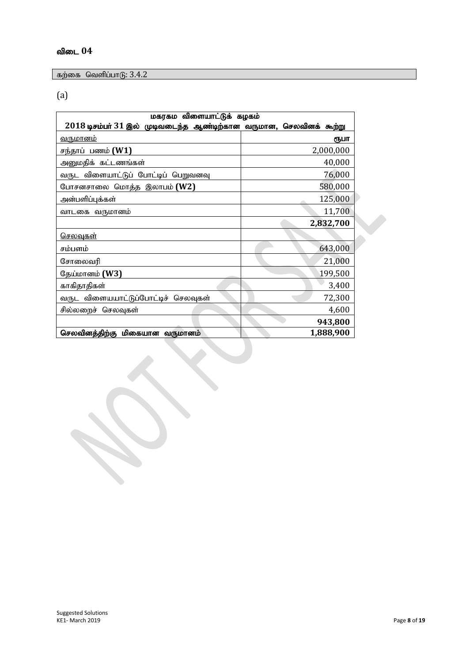# விடை 04

கற்கை வெளிப்பாடு:  $3.4.2$ 

(a)

| மகரகம விளையாட்டுக் கழகம்                                               |           |  |  |  |
|------------------------------------------------------------------------|-----------|--|--|--|
| $2018$ டிசம்பர் $31$ இல் முடிவடைந்த ஆண்டிற்கான வருமான, செலவினக் கூற்று |           |  |  |  |
| <u>வருமானம்</u>                                                        | ரூபா      |  |  |  |
| சந்தாப் பணம் <b>(W1)</b>                                               | 2,000,000 |  |  |  |
| அனுமதிக் கட்டணங்கள்                                                    | 40,000    |  |  |  |
| வருட விளையாட்டுப் போட்டிப் பெறுவனவு                                    | 76,000    |  |  |  |
| போசனசாலை மொத்த இலாபம் (W2)                                             | 580,000   |  |  |  |
| அன்பளிப்புக்கள்                                                        | 125,000   |  |  |  |
| வாடகை வருமானம்                                                         | 11,700    |  |  |  |
|                                                                        | 2,832,700 |  |  |  |
| <u>செலவுகள்</u>                                                        |           |  |  |  |
| சம்பளம்                                                                | 643,000   |  |  |  |
| சோலைவரி                                                                | 21,000    |  |  |  |
| தேய்மானம் <b>(W3)</b>                                                  | 199,500   |  |  |  |
| காகிதாதிகள்                                                            | 3,400     |  |  |  |
| வருட விளையயாட்டுப்போட்டிச் செலவுகள்                                    | 72,300    |  |  |  |
| சில்லறைச் செலவுகள்                                                     | 4,600     |  |  |  |
|                                                                        | 943,800   |  |  |  |
| செலவினத்திற்கு மிகையான வருமானம்                                        | 1,888,900 |  |  |  |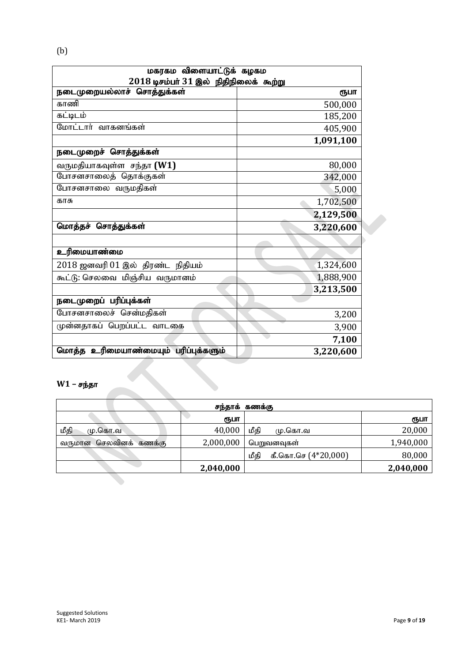| மகரகம விளையாட்டுக் கழகம                    |           |  |  |  |
|--------------------------------------------|-----------|--|--|--|
| $2018$ டிசம்பர் $31$ இல் நிதிநிலைக் கூற்று |           |  |  |  |
| நடைமுறையல்லாச் சொத்துக்கள்                 | ரூபா      |  |  |  |
| காணி                                       | 500,000   |  |  |  |
| சுட்டிடம்                                  | 185,200   |  |  |  |
| மோட்டார் வாகனங்கள்                         | 405,900   |  |  |  |
|                                            | 1,091,100 |  |  |  |
| நடைமுறைச் சொத்துக்கள்                      |           |  |  |  |
| வருமதியாகவுள்ள சந்தா $(W1)$                | 80,000    |  |  |  |
| போசனசாலைத் தொக்குகள்                       | 342,000   |  |  |  |
| போசனசாலை வருமதிகள்                         | 5,000     |  |  |  |
| காசு                                       | 1,702,500 |  |  |  |
|                                            | 2,129,500 |  |  |  |
| மொத்தச் சொத்துக்கள்                        | 3,220,600 |  |  |  |
|                                            |           |  |  |  |
| உரிமையாண்மை                                |           |  |  |  |
| 2018 ஜனவரி 01 இல் திரண்ட நிதியம்           | 1,324,600 |  |  |  |
| கூட்டு: செலவை மிஞ்சிய வருமானம்             | 1,888,900 |  |  |  |
|                                            | 3,213,500 |  |  |  |
| நடைமுறைப் பரிப்புக்கள்                     |           |  |  |  |
| போசனசாலைச் சென்மதிகள்                      | 3,200     |  |  |  |
| முன்னதாகப் பெறப்பட்ட வாடகை                 | 3,900     |  |  |  |
|                                            | 7,100     |  |  |  |
| மொத்த உரிமையாண்மையும் பரிப்புக்களும்       | 3,220,600 |  |  |  |
|                                            |           |  |  |  |
| $W1 - \sigma$ ந்தா                         |           |  |  |  |
|                                            |           |  |  |  |

# $W1 - Fp\bar{p}$ தா

|                           |           | சந்தாக் கணக்கு                |           |
|---------------------------|-----------|-------------------------------|-----------|
|                           | ரூபா      |                               | ரூபா      |
| மீதி<br>மு.கொ.வ           | 40,000    | மீதி<br>மு.கொ.வ               | 20,000    |
| செலவினக் கணக்கு<br>வருமான | 2,000,000 | பெறுவனவுகள்                   | 1,940,000 |
|                           |           | கீ.கொ.செ $(4*20,000)$<br>மீதி | 80,000    |
|                           | 2,040,000 |                               | 2,040,000 |
|                           |           |                               |           |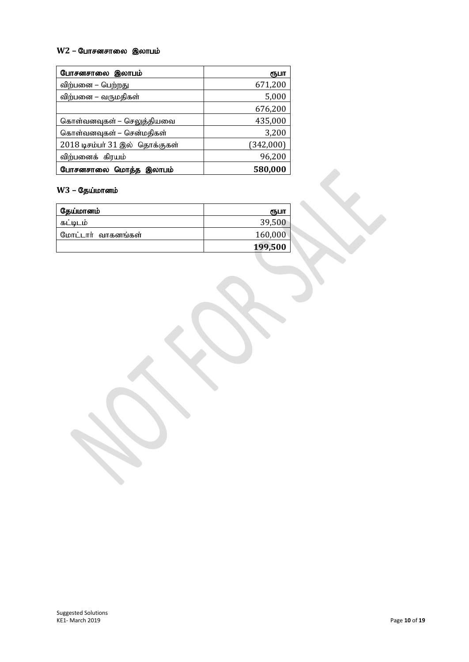## **W2 - போசனசாலை இலாபம்**

| போசனசாலை இலாபம்                | ரூபா      |
|--------------------------------|-----------|
| விற்பனை – பெற்றது              | 671,200   |
| விற்பனை – வருமதிகள்            | 5,000     |
|                                | 676,200   |
| கொள்வனவுகள் – செலுத்தியவை      | 435,000   |
| கொள்வனவுகள் – சென்மதிகள்       | 3,200     |
| 2018 டிசம்பர் 31 இல் தொக்குகள் | (342,000) |
| விற்பனைக் கிரயம்               | 96,200    |
| போசனசாலை மொத்த இலாபம்          | 580,000   |

# **W3 – தேய்மானம்**

| தேய்மானம்          | ரூபா    |
|--------------------|---------|
| கட்டிடம்           | 39,500  |
| மோட்டார் வாகனங்கள் | 160,000 |
|                    | 199,500 |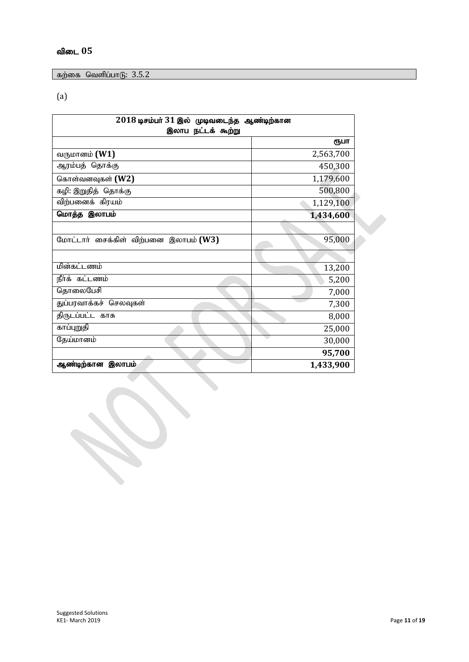# $\delta$ விடை  $05$

கற்கை வெளிப்பாடு:  $3.5.2$ 

(a)

| $2018$ டிசம்பர் $31$ இல் முடிவடைந்த ஆண்டிற்கான<br>இலாப நட்டக் கூற்று |           |  |
|----------------------------------------------------------------------|-----------|--|
|                                                                      | ரூபா      |  |
| வருமானம் (W1)                                                        | 2,563,700 |  |
| ஆரம்பத் தொக்கு                                                       | 450,300   |  |
| கொள்வனவுகள் (W2)                                                     | 1,179,600 |  |
| கழி: இறுதித் தொக்கு                                                  | 500,800   |  |
| விற்பனைக் கிரயம்                                                     | 1,129,100 |  |
| மொத்த இலாபம்                                                         | 1,434,600 |  |
|                                                                      |           |  |
| மோட்டார் சைக்கிள் விற்பனை இலாபம் (W3)                                | 95,000    |  |
|                                                                      |           |  |
| மின்கட்டணம்                                                          | 13,200    |  |
| நீர்க் கட்டணம்                                                       | 5,200     |  |
| தொலைபேசி                                                             | 7,000     |  |
| துப்பரவாக்கச் செலவுகள்                                               | 7,300     |  |
| திருடப்பட்ட காசு                                                     | 8,000     |  |
| காப்புறுதி                                                           | 25,000    |  |
| தேய்மானம்                                                            | 30,000    |  |
|                                                                      | 95,700    |  |
| ஆண்டிற்கான இலாபம்                                                    | 1,433,900 |  |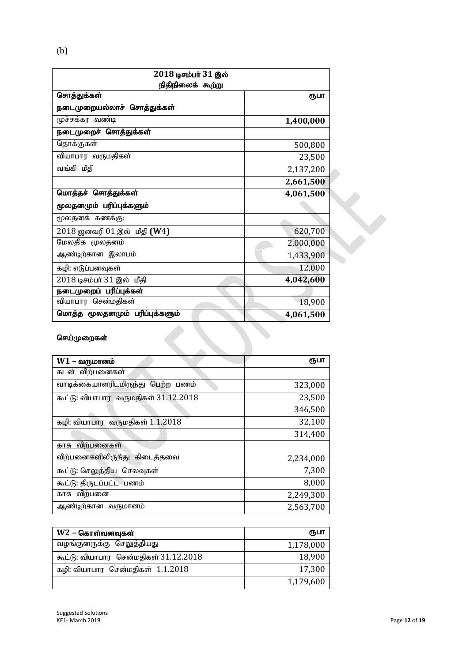| 2018 டிசம்பர் 31 இல்           |           |
|--------------------------------|-----------|
| நிதிநிலைக் கூற்று              |           |
| சொத்துக்கள்                    | ரூபா      |
| நடைமுறையல்லாச் சொத்துக்கள்     |           |
| முச்சக்கர வண்டி                | 1,400,000 |
| நடைமுறைச் சொத்துக்கள்          |           |
| தொக்குகள்                      | 500,800   |
| வியாபார வருமதிகள்              | 23,500    |
| வங்கி மீதி                     | 2,137,200 |
|                                | 2,661,500 |
| மொத்தச் சொத்துக்கள்            | 4,061,500 |
| மூலதனமும் பரிப்புக்களும்       |           |
| மூலதனக் கணக்கு:                |           |
| 2018 ஜனவரி 01 இல் மீதி (W4)    | 620,700   |
| மேலதிக மூலதனம்                 | 2,000,000 |
| ஆண்டிற்கான இலாபம்              | 1,433,900 |
| கழி: எடுப்பனவுகள்              | 12,000    |
| 2018 டிசம்பர் 31 இல் மீதி      | 4,042,600 |
| நடைமுறைப் பரிப்புக்கள்         |           |
| வியாபார சென்மதிகள்             | 18,900    |
| மொத்த மூலதனமும் பரிப்புக்களும் | 4,061,500 |
| செய்முறைகள்                    |           |

# செய்முறைகள்

| $W1$ – வருமானம்                      | ரூபா      |
|--------------------------------------|-----------|
| <u>கடன் விற்பனைகள்</u>               |           |
| வாடிக்கையாளரிடமிருந்து பெற்ற பணம்    | 323,000   |
| கூட்டு: வியாபார வருமதிகள் 31.12.2018 | 23,500    |
|                                      | 346,500   |
| கழி: வியாபார வருமதிகள் 1.1.2018      | 32,100    |
|                                      | 314,400   |
| <u>காசு விற்பனைகள்</u>               |           |
| விற்பனைகளிலிருந்து கிடைத்தவை         | 2,234,000 |
| கூட்டு: செலுத்திய செலவுகள்           | 7,300     |
| கூட்டு: திருடப்பட்ட பணம்             | 8,000     |
| காசு விற்பனை                         | 2,249,300 |
| ஆண்டிற்கான வருமானம்                  | 2,563,700 |

| $W2$ – கொள்வனவுகள்                    | ரூபா      |
|---------------------------------------|-----------|
| வழங்குனருக்கு செலுத்தியது             | 1,178,000 |
| கூட்டு: வியாபார சென்மதிகள் 31.12.2018 | 18,900    |
| கழி: வியாபார சென்மதிகள் 1.1.2018      | 17,300    |
|                                       | 1,179,600 |

(b)

 $\overline{\phantom{a}}$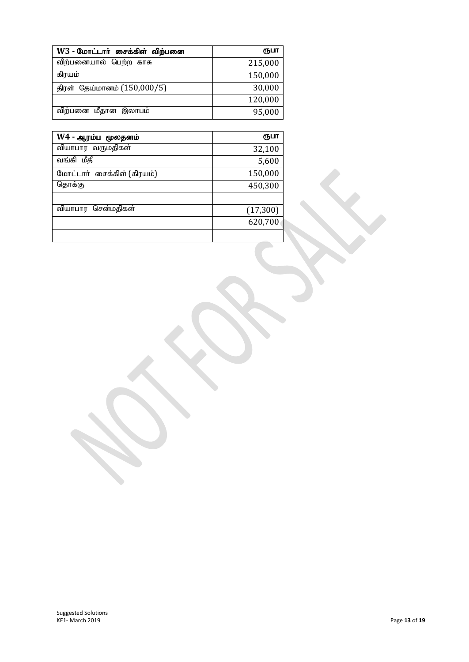| $W3$ - மோட்டார் சைக்கிள் விற்பனை | ரூபா    |
|----------------------------------|---------|
| விற்பனையால் பெற்ற காசு           | 215,000 |
| கிரயம்                           | 150,000 |
| திரள் தேய்மானம் (150,000/5)      | 30,000  |
|                                  | 120,000 |
| விற்பனை மீதான இலாபம்             | 95,000  |

| W4 - ஆரம்ப மூலதனம்         | ரூபா      |
|----------------------------|-----------|
| வியாபார வருமதிகள்          | 32,100    |
| வங்கி மீதி                 | 5,600     |
| மோட்டார் சைக்கிள் (கிரயம்) | 150,000   |
| தொக்கு                     | 450,300   |
|                            |           |
| சென்மதிகள்<br>வியாபார      | (17, 300) |
|                            | 620,700   |
|                            |           |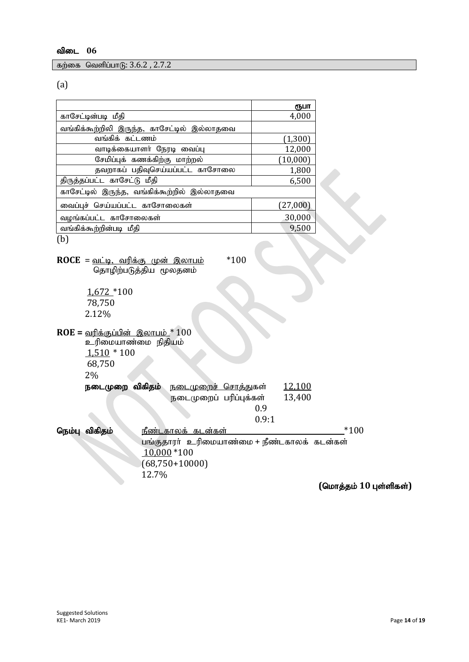கற்கை வெளிப்பாடு:  $3.6.2$  ,  $2.7.2$ 

(a)

|                                             | ரூபா     |
|---------------------------------------------|----------|
| காசேட்டின்படி மீதி                          | 4,000    |
| வங்கிக்கூற்றிலி இருந்த, காசேட்டில் இல்லாதவை |          |
| வங்கிக் கட்டணம்                             | (1,300)  |
| வாடிக்கையாளர் நேரடி வைப்பு                  | 12,000   |
| சேமிப்புக் கணக்கிற்கு மாற்றல்               | (10,000) |
| தவறாகப் பதிவுசெய்யப்பட்ட காசோலை             | 1,800    |
| திருத்தப்பட்ட காசேட்டு மீதி                 | 6,500    |
| காசேட்டில் இருந்த, வங்கிக்கூற்றில் இல்லாதவை |          |
| வைப்புச் செய்யப்பட்ட காசோலைகள்              | (27,000) |
| வழங்கப்பட்ட காசோலைகள்                       | 30,000   |
| வங்கிக்கூற்றின்படி மீதி                     | 9,500    |
| b                                           |          |

**ROCE** = <u>வட்டி, வரிக்கு முன் இலாபம்</u> \*100 தொழிற்படுத்திய மூலதனம்

1,672 \*100 78,750 2.12%

**ROE** = <u>வரிக்குப்பின் இலாபம் \*</u> 100 உரிமையாண்மை நிதியம்  $1,510 * 100$ 68,750  $20<sub>0</sub>$ 

12.7%

| 2.70            |                              |                                             |               |        |
|-----------------|------------------------------|---------------------------------------------|---------------|--------|
| நடைமுறை விகிதம் | <u> நடைமுறைச் சொத்து</u> கள் |                                             | <u>12,100</u> |        |
|                 | நடைமுறைப் பரிப்புக்கள்       |                                             | 13,400        |        |
|                 |                              | 0.9                                         |               |        |
|                 |                              | 0.9:1                                       |               |        |
| நெம்பு விகிதம்  | <u>நீண்டகாலக் கடன்கள்</u>    |                                             |               | $*100$ |
|                 |                              | பங்குதாரர் உரிமையாண்மை + நீண்டகாலக் கடன்கள் |               |        |
|                 | $10,000*100$                 |                                             |               |        |
|                 | $(68,750+10000)$             |                                             |               |        |

 $($ மொத்தம் 10 புள்ளிகள்)

 $\boldsymbol{\mathsf{x}}$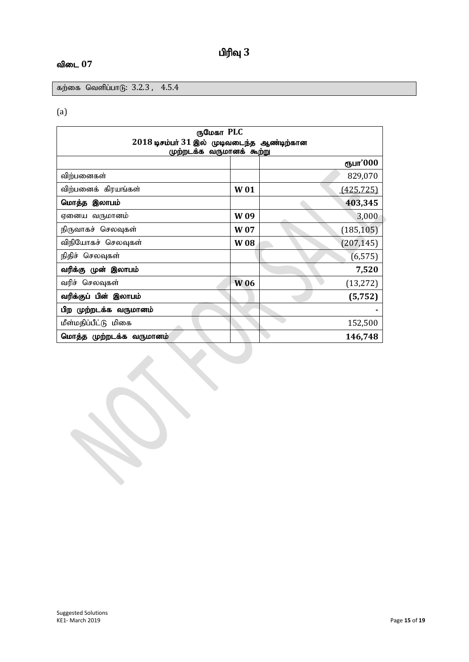# **பிரிவு** 3

# விடை 07

கற்கை வெளிப்பாடு:  $3.2.3$ ,  $4.5.4$ 

# (a)

| ருமேகா PLC                                     |                 |            |  |
|------------------------------------------------|-----------------|------------|--|
| $2018$ டிசம்பர் $31$ இல் முடிவடைந்த ஆண்டிற்கான |                 |            |  |
| முற்றடக்க வருமானக் கூற்று                      |                 |            |  |
|                                                |                 | ரூபா'000   |  |
| விற்பனைகள்                                     |                 | 829,070    |  |
| விற்பனைக் கிரயங்கள்                            | <b>W01</b>      | (425, 725) |  |
| மொத்த இலாபம்                                   |                 | 403,345    |  |
| ஏனைய வருமானம்                                  | W <sub>09</sub> | 3,000      |  |
| நிருவாகச் செலவுகள்                             | W <sub>07</sub> | (185, 105) |  |
| விநியோகச் செலவுகள்                             | <b>W08</b>      | (207, 145) |  |
| நிதிச் செலவுகள்                                |                 | (6, 575)   |  |
| வரிக்கு முன் இலாபம்                            |                 | 7,520      |  |
| வரிச் செலவுகள்                                 | <b>W06</b>      | (13, 272)  |  |
| வரிக்குப் பின் இலாபம்                          |                 | (5, 752)   |  |
| பிற முற்றடக்க வருமானம்                         |                 |            |  |
| மீள்மதிப்பீட்டு மிகை                           |                 | 152,500    |  |
| மொத்த முற்றடக்க வருமானம்                       |                 | 146,748    |  |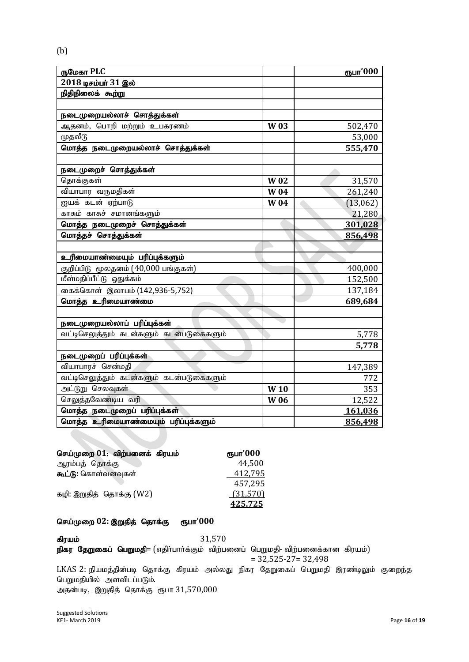| ருமேகா PLC                               |                 | ரூபா'000  |
|------------------------------------------|-----------------|-----------|
| 2018 டிசம்பர் 31 இல்                     |                 |           |
| நிதிநிலைக் கூற்று                        |                 |           |
|                                          |                 |           |
| நடைமுறையல்லாச் சொத்துக்கள்               |                 |           |
| ஆதனம், பொறி மற்றும் உபகரணம்              | <b>W03</b>      | 502,470   |
| முதலீடு                                  |                 | 53,000    |
| மொத்த நடைமுறையல்லாச் சொத்துக்கள்         |                 | 555,470   |
|                                          |                 |           |
| நடைமுறைச் சொத்துக்கள்                    |                 |           |
| தொக்குகள்                                | <b>W02</b>      | 31,570    |
| வியாபார வருமதிகள்                        | <b>W04</b>      | 261,240   |
| ஐயக் கடன் ஏற்பாடு                        | <b>W04</b>      | (13, 062) |
| காசும் காசுச் சமானங்களும்                |                 | 21,280    |
| மொத்த நடைமுறைச் சொத்துக்கள்              |                 | 301,028   |
| மொத்தச் சொத்துக்கள்                      |                 | 856,498   |
|                                          |                 |           |
| உரிமையாண்மையும் பரிப்புக்களும்           |                 |           |
| குறிப்பிடு மூலதனம் (40,000 பங்குகள்)     |                 | 400,000   |
| <mark>மீள்மதிப்பீட்டு ஒதுக்கம்</mark>    |                 | 152,500   |
| கைக்கொள் இலாபம் (142,936-5,752)          |                 | 137,184   |
| மொத்த உரிமையாண்மை                        |                 | 689,684   |
|                                          |                 |           |
| நடைமுறையல்லாப் பரிப்புக்கள்              |                 |           |
| வட்டிசெலுத்தும் கடன்களும் கடன்படுகைகளும் |                 | 5,778     |
|                                          |                 | 5,778     |
| நடைமுறைப் பரிப்புக்கள்                   |                 |           |
| வியாபாரச் சென்மதி                        |                 | 147,389   |
| வட்டிசெலுத்தும் கடன்களும் கடன்படுகைகளும் |                 | 772       |
| அட்டுறு செலவுகள்                         | W <sub>10</sub> | 353       |
| செலுத்தவேண்டிய வரி                       | <b>W06</b>      | 12,522    |
| மொத்த நடைமுறைப் பரிப்புக்கள்             |                 | 161,036   |
| மொத்த உரிமையாண்மையும் பரிப்புக்களும்     |                 | 856,498   |

| செய்முறை 01: விற்பனைக் கிரயம் | ரூபா'000 |
|-------------------------------|----------|
| ஆரம்பத் தொக்கு                | 44,500   |
| கூட்டு: கொள்வனவுகள்           | 412,795  |
|                               | 457,295  |
| கழி: இறுதித் தொக்கு (W2)      | (31,570) |
|                               | 425,725  |
|                               |          |

# செய்முறை 02: இறுதித் தொக்கு ரூபா'000

கிரயம் $31,570$ 

<mark>நிகர தேறுகைப் பெறுமதி</mark>= (எதிா்பாா்க்கும் விற்பனைப் பெறுமதி- விற்பனைக்கான கிரயம்)  $= 32,525 - 27 = 32,498$ LKAS 2: நியமத்தின்படி தொக்கு கிரயம் அல்லது நிகர தேறுகைப் பெறுமதி இரண்டிலும் குறைந்த

பெறுமதியில் அளவிடப்படும். அதன்படி, இறுதித் தொக்கு ரூபா 31,570,000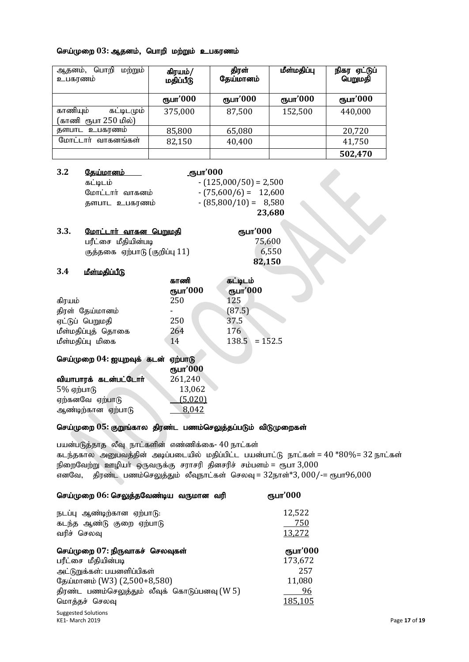#### செய்முறை 03: ஆதனம், பொறி மற்றும் உபகரணம்

| மற்றும்<br>பொறி<br>ஆதனம்,<br>உபகரணம்           | கிரயம்/<br>மதிப்பீடு | திரள்<br>தேய்மானம் | மீள்மதிப்பு | நிகர ஏட்டுப்<br>பெறுமதி |
|------------------------------------------------|----------------------|--------------------|-------------|-------------------------|
|                                                | ரூபா'000             | ரூபா'000           | ரூபா'000    | ரூபா'000                |
| காணியும்<br>கட்டிடமும்<br>(காணி ரூபா 250 மில்) | 375,000              | 87,500             | 152,500     | 440,000                 |
| தளபாட உபகரணம்                                  | 85,800               | 65,080             |             | 20,720                  |
| மோட்டார் வாகனங்கள்                             | 82,150               | 40,400             |             | 41,750                  |
|                                                |                      |                    |             | 502,470                 |

| 3.2 |                 | <u>.ரூபா'000</u>        |
|-----|-----------------|-------------------------|
|     | கட்டிடம்        | $-(125,000/50) = 2,500$ |
|     | மோட்டார் வாகனம் | $-(75,600/6) = 12,600$  |
|     | தளபாட உபகரணம்   | $-(85,800/10) = 8,580$  |
|     |                 | 23,680                  |

| 3.3. | <u> மோட்டார் வாகன பெறுமகி</u> | ரூபா'000 |
|------|-------------------------------|----------|
|      | பரீட்சை மீதியின்படி           | 75,600   |
|      | குத்தகை ஏற்பாடு (குறிப்பு 11) | 6,550    |
|      |                               | 82,150   |

#### <u>3.4 เด็ตเบอลินน์ใหิ</u>

ஆண்டிற்கான ஏற்பாடு

|                            | காணி     | கட்டிடம்        |
|----------------------------|----------|-----------------|
|                            | ரூபா'000 | ரூபா'000        |
| கிரயம்                     | 250      | 125             |
| திரள் தேய்மானம்            |          | (87.5)          |
| ஏட்டுப் பெறுமதி            | 250      | 37.5            |
| மீள்மதிப்புத் தொகை         | 264      | 176             |
| மீள்மதிப்பு மிகை           | 14       | $138.5 = 152.5$ |
| செய்முறை 04: ஐயுறவுக் கடன் | ஏற்பாடு  |                 |
|                            | ரூபா'000 |                 |
| வியாபாரக் கடன்பட்டோர்      | 261,240  |                 |
| $5%$ ஏற்பாடு               | 13,062   |                 |
| ஏற்கனவே ஏற்பாடு            | (5,020)  |                 |

# செய்முறை 05: குறுங்கால திரண்ட பணம்செலுத்தப்படும் விடுமுறைகள்

ஏற்கனவே ஏற்பாடு $\frac{(5,020)}{8,042}$ 

பயன்படுத்தாத லீவு நாட்களின் எண்ணிக்கை- 40 நாட்கள் கடந்தகால அனுபவத்தின் அடிப்படையில் மதிப்பிட்ட பயன்பாட்டு நாட்கள் =  $40 * 80\%$ =  $32$  நாட்கள் நிறைவேற்று ஊழியர் ஒருவருக்கு சராசரி தினசரிச் சம்பளம் = ரூபா  $3,000$ எனவே, திரண்ட் பணம்செலுத்தும் லீவுநாட்கள் செலவு =  $32$ நாள்\* $3,000/-$ = ரூபா $96,000$ 

| ரூபா'000       |               |
|----------------|---------------|
| 12,522         |               |
| 750            |               |
| 13,272         |               |
| ரூபா'000       |               |
| 173,672        |               |
| 257            |               |
| 11,080         |               |
| 96             |               |
| <u>185.105</u> |               |
|                | Page 17 of 19 |
|                |               |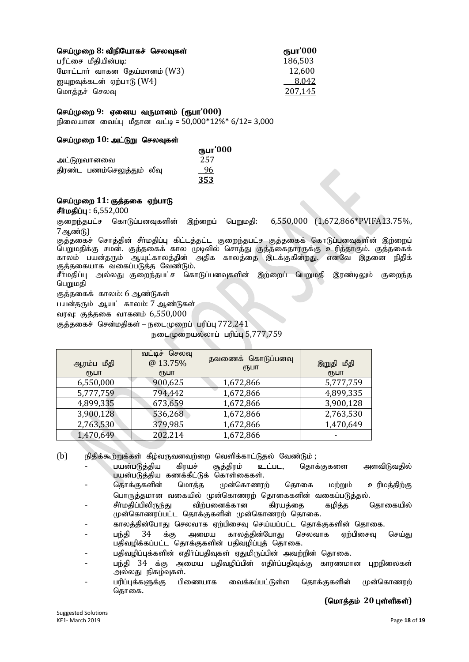| செய்முறை 8: விநியோகச் செலவுகள் | ரூபா'000 |
|--------------------------------|----------|
| பரீட்சை மீதியின்படி:           | 186,503  |
| மோட்டார் வாகன தேய்மானம் (W3)   | 12.600   |
| ஐயுறவுக்கடன் ஏற்பாடு (W4)      | 8,042    |
| மொத்தச் செலவு                  | 207,145  |

#### nra;Kiw **9:** Vida tUkhdk; **(**&gh**'000)**

நிலையான வைப்பு மீதான வட்டி = 50,000\*12%\* 6/12= 3,000

#### செய்முறை 10: அட்டுறு செலவுகள்

|                            | ரூபா'000 |  |
|----------------------------|----------|--|
| அட்டுறுவானவை               | 257      |  |
| திரண்ட பணம்செலுத்தும் லீவு | 96       |  |
|                            | 353      |  |

#### செய்முறை 11: குத்தகை ஏற்பாடு

 $\frac{d \hat{F} \hat{n} \hat{n}}{d \hat{g}}$ 

குறைந்தபட்ச கொடுப்பனவுகளின் இற்றைப் பெறுமதி: 6,550,000 (1,672,866\*PVIFA13.75%, 7ஆண்டு)

குத்தகைச் சொத்தின் சீா்மதிப்பு கிட்டத்தட்ட குறைந்தபட்ச குத்தகைக் கொடுப்பனவுகளின் இற்றைப் பெறுமதிக்கு சமன். குத்தகைக் கால முடிவில் சொத்து குத்தகைதாரருக்கு உரித்தாகும். குத்தகைக் காலம் பயன்தரும் ஆயுட்காலத்தின் அதிக காலத்தை இடக்குகின்றது. எனவே இதனை நிதிக் குத்தகையாக வகைப்படுத்த வேண்டும்.

சீா்மதிப்பு அல்லது குறைந்தபட்ச கொடுப்பனவுகளின் இற்றைப் பெறுமதி இரண்டிலும் குறைந்த பெறுமதி

குக்ககைக் காலம்: 6 ஆண்டுகள்

பயன்தரும் ஆயட் காலம்: 7 ஆண்டுகள்

வரவு: குத்தகை வாகனம் 6,550,000

குத்தகைச் சென்மதிகள் – நடைமுறைப் பரிப்பு  $772.241$ 

 $B<sub>6</sub>$ டைமுறையல்லாப் பரிப்பு 5,777,759

| ஆரம்ப மீதி<br>(ҦШТ | வட்டிச் செலவு<br>@13.75%<br>(⊓Б⊔П | தவணைக் கொடுப்பனவு<br>₹ҦШП | இறுதி மீதி<br>(ҦШТ |
|--------------------|-----------------------------------|---------------------------|--------------------|
| 6,550,000          | 900,625                           | 1,672,866                 | 5,777,759          |
| 5,777,759          | 794,442                           | 1,672,866                 | 4,899,335          |
| 4,899,335          | 673,659                           | 1,672,866                 | 3,900,128          |
| 3,900,128          | 536,268                           | 1,672,866                 | 2,763,530          |
| 2,763,530          | 379,985                           | 1,672,866                 | 1,470,649          |
| 1,470,649          | 202,214                           | 1,672,866                 |                    |

(b) நிதிக்கூற்றுக்கள் கீழ்வருவனவற்றை வெளிக்காட்டுதல் வேண்டும்;<br>பயன்படுத்திய கிரயச் சூத்திரம் உட்பட, தொச்

- பயன்படுத்திய கிரயச் சூத்திரம் உட்பட, தொக்குகளை அளவிடுவதில் பயன்படுத்திய கணக்கீட்டுக் கொள்கைகள்.
- தொக்குகளின் மொத்த முன்கொணரற் தொகை மற்றும் உரிமத்திற்கு பொருத்தமான வகையில் முன்கொணரற் தொகைகளின் வகைப்படுத்தல்.
- சீர்மதிப்பிலிருந்து விற்பனைக்கான கிரயத்தை கழித்த தொகையில் முன்கொணரப்பட்ட தொக்குகளின் முன்கொணரற் தொகை.
- காலத்தின்போது செலவாக ஏற்பிசைவு செய்யப்பட்ட தொக்குகளின் தொகை.
- பந்தி 34 க்கு அமைய காலத்தின்போது செலவாக ஏற்பிசைவு செய்து பதிவழிக்கப்பட்ட தொக்குகளின் பதிவழிப்புத் தொகை.
- பதிவழிப்புக்களின் எதிர்ப்பதிவுகள் ஏதுமிருப்பின் அவற்றின் தொகை.
- பந்தி 34 க்கு அமைய பதிவழிப்பின் எதிர்ப்பதிவுக்கு காரணமான புறநிலைகள் அல்லது நிகழ்வுகள்.
- பரிப்புக்களுக்கு பிணையாக வைக்கப்பட்டுள்ள தொக்குகளின் முன்கொணரற் கொகை.

 $($ மொத்தம் 20 புள்ளிகள்)